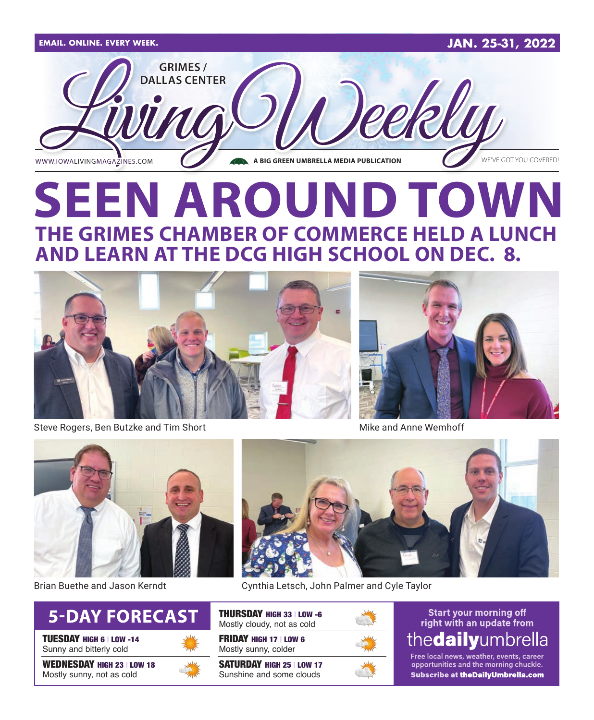

# **SEEN AROUND TOWN THE GRIMES CHAMBER OF COMMERCE HELD A LUNCH AND LEARN AT THE DCG HIGH SCHOOL ON DEC. 8.**



Steve Rogers, Ben Butzke and Tim Short Mike and Anne Wemhoff





Brian Buethe and Jason Kerndt



TUESDAY HIGH 6 | LOW -14 Sunny and bitterly cold

WEDNESDAY HIGH 23 | LOW 18 Mostly sunny, not as cold



Cynthia Letsch, John Palmer and Cyle Taylor

THURSDAY HIGH 33 | LOW -6 Mostly cloudy, not as cold

FRIDAY HIGH 17 | LOW 6 Mostly sunny, colder

SATURDAY HIGH 25 | LOW 17 Sunshine and some clouds



## **Start your morning off** right with an update from thedailyumbrella

Free local news, weather, events, career opportunities and the morning chuckle. **Subscribe at theDailyUmbrella.com**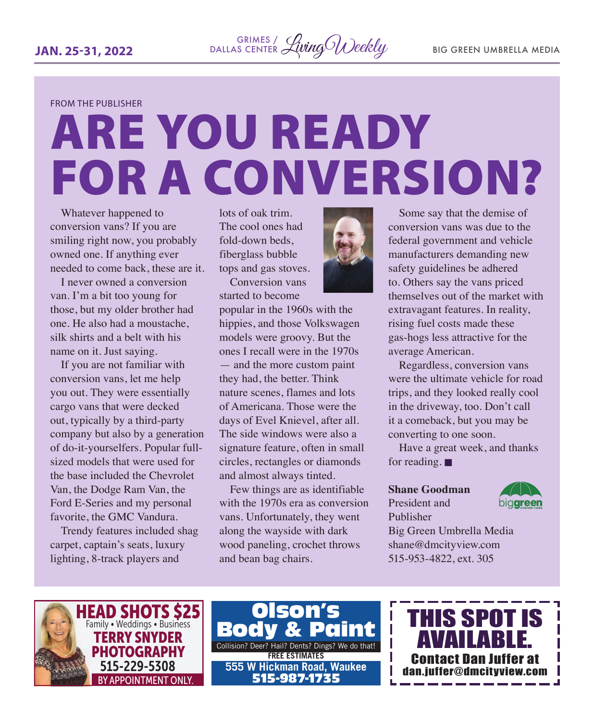FROM THE PUBLISHER

# ARE YOU READY FOR A CONVERSION?

Whatever happened to conversion vans? If you are smiling right now, you probably owned one. If anything ever needed to come back, these are it.

I never owned a conversion van. I'm a bit too young for those, but my older brother had one. He also had a moustache, silk shirts and a belt with his name on it. Just saying.

If you are not familiar with conversion vans, let me help you out. They were essentially cargo vans that were decked out, typically by a third-party company but also by a generation of do-it-yourselfers. Popular fullsized models that were used for the base included the Chevrolet Van, the Dodge Ram Van, the Ford E-Series and my personal favorite, the GMC Vandura.

Trendy features included shag carpet, captain's seats, luxury lighting, 8-track players and

lots of oak trim. The cool ones had fold-down beds, fiberglass bubble tops and gas stoves.

Conversion vans started to become

popular in the 1960s with the hippies, and those Volkswagen models were groovy. But the ones I recall were in the 1970s — and the more custom paint they had, the better. Think nature scenes, flames and lots of Americana. Those were the days of Evel Knievel, after all. The side windows were also a signature feature, often in small circles, rectangles or diamonds and almost always tinted.

Few things are as identifiable with the 1970s era as conversion vans. Unfortunately, they went along the wayside with dark wood paneling, crochet throws and bean bag chairs.



Some say that the demise of conversion vans was due to the federal government and vehicle manufacturers demanding new safety guidelines be adhered to. Others say the vans priced themselves out of the market with extravagant features. In reality, rising fuel costs made these gas-hogs less attractive for the average American.

Regardless, conversion vans were the ultimate vehicle for road trips, and they looked really cool in the driveway, too. Don't call it a comeback, but you may be converting to one soon.

Have a great week, and thanks for reading.  $\blacksquare$ 

### **Shane Goodman**

President and Publisher



Big Green Umbrella Media shane@dmcityview.com 515-953-4822, ext. 305



Collision? Deer? Hail? Dents? Dings? We do that! **FREE ESTIMATES** Olson's Bod \ **555 W Hickman Road, Waukee** 515-987-1735

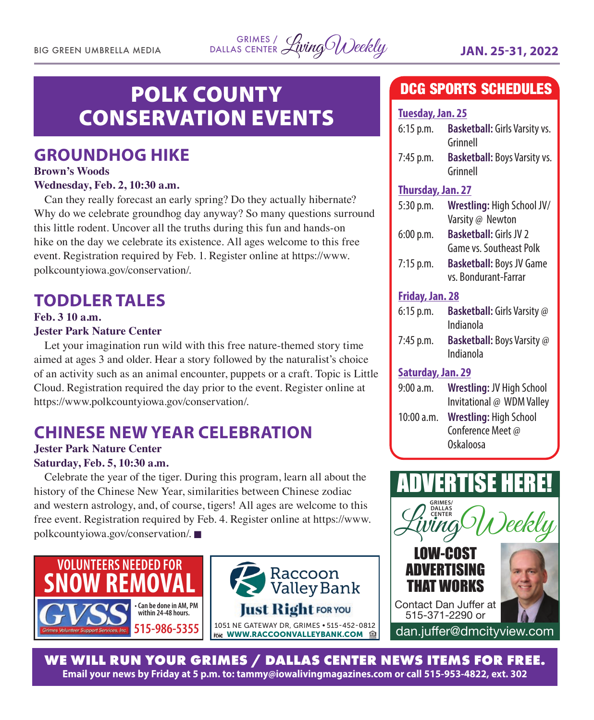BIG GREEN UMBRELLA MEDIA LivingWeekly **JAN. 25-31, 2022** GRIMES / DALLAS CENTER

# POLK COUNTY CONSERVATION EVENTS

# **GROUNDHOG HIKE**

### **Brown's Woods**

### **Wednesday, Feb. 2, 10:30 a.m.**

Can they really forecast an early spring? Do they actually hibernate? Why do we celebrate groundhog day anyway? So many questions surround this little rodent. Uncover all the truths during this fun and hands-on hike on the day we celebrate its existence. All ages welcome to this free event. Registration required by Feb. 1. Register online at https://www. polkcountyiowa.gov/conservation/.

# **TODDLER TALES**

### **Feb. 3 10 a.m. Jester Park Nature Center**

Let your imagination run wild with this free nature-themed story time aimed at ages 3 and older. Hear a story followed by the naturalist's choice of an activity such as an animal encounter, puppets or a craft. Topic is Little Cloud. Registration required the day prior to the event. Register online at https://www.polkcountyiowa.gov/conservation/.

# **CHINESE NEW YEAR CELEBRATION**

### **Jester Park Nature Center Saturday, Feb. 5, 10:30 a.m.**

Celebrate the year of the tiger. During this program, learn all about the history of the Chinese New Year, similarities between Chinese zodiac and western astrology, and, of course, tigers! All ages are welcome to this free event. Registration required by Feb. 4. Register online at https://www. polkcountyiowa.gov/conservation/.





# DCG SPORTS SCHEDULES

# **Tuesday, Jan. 25** 6:15 p.m. **Basketball:** Girls Varsity vs. Grinnell 7:45 p.m. **Basketball:** Boys Varsity vs. Grinnell **Thursday, Jan. 27**

| Wrestling: High School JV/      |
|---------------------------------|
| Varsity @ Newton                |
| <b>Basketball: Girls JV 2</b>   |
| <b>Game vs. Southeast Polk</b>  |
| <b>Basketball: Boys JV Game</b> |
| vs. Bondurant-Farrar            |
| Friday, Jan. 28                 |
|                                 |

| $6:15$ p.m. | <b>Basketball:</b> Girls Varsity @<br>Indianola |
|-------------|-------------------------------------------------|
| $7:45$ p.m. | <b>Basketball:</b> Boys Varsity @<br>Indianola  |

### **Saturday, Jan. 29**

| 9:00 a.m.  | <b>Wrestling: JV High School</b> |
|------------|----------------------------------|
|            | Invitational @ WDM Valley        |
| 10:00 a.m. | Wrestling: High School           |
|            | Conference Meet @                |
|            | Oskaloosa                        |



**WE WILL RUN YOUR GRIMES / DALLAS CENTER NEWS ITEMS FOR FREE. Email your news by Friday at 5 p.m. to: tammy@iowalivingmagazines.com or call 515-953-4822, ext. 302**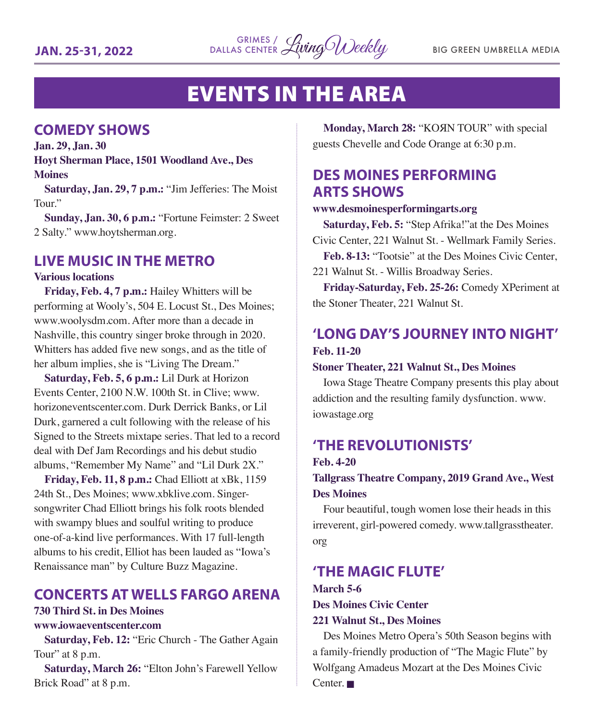

# EVENTS IN THE AREA

## **COMEDY SHOWS**

**Jan. 29, Jan. 30 Hoyt Sherman Place, 1501 Woodland Ave., Des Moines**

**Saturday, Jan. 29, 7 p.m.:** "Jim Jefferies: The Moist Tour."

**Sunday, Jan. 30, 6 p.m.:** "Fortune Feimster: 2 Sweet 2 Salty." www.hoytsherman.org.

# **LIVE MUSIC IN THE METRO**

### **Various locations**

**Friday, Feb. 4, 7 p.m.:** Hailey Whitters will be performing at Wooly's, 504 E. Locust St., Des Moines; www.woolysdm.com. After more than a decade in Nashville, this country singer broke through in 2020. Whitters has added five new songs, and as the title of her album implies, she is "Living The Dream."

**Saturday, Feb. 5, 6 p.m.:** Lil Durk at Horizon Events Center, 2100 N.W. 100th St. in Clive; www. horizoneventscenter.com. Durk Derrick Banks, or Lil Durk, garnered a cult following with the release of his Signed to the Streets mixtape series. That led to a record deal with Def Jam Recordings and his debut studio albums, "Remember My Name" and "Lil Durk 2X."

**Friday, Feb. 11, 8 p.m.:** Chad Elliott at xBk, 1159 24th St., Des Moines; www.xbklive.com. Singersongwriter Chad Elliott brings his folk roots blended with swampy blues and soulful writing to produce one-of-a-kind live performances. With 17 full-length albums to his credit, Elliot has been lauded as "Iowa's Renaissance man" by Culture Buzz Magazine.

# **CONCERTS AT WELLS FARGO ARENA**

# **730 Third St. in Des Moines**

### **www.iowaeventscenter.com**

**Saturday, Feb. 12:** "Eric Church - The Gather Again Tour" at 8 p.m.

**Saturday, March 26:** "Elton John's Farewell Yellow Brick Road" at 8 p.m.

**Monday, March 28:** "KOЯN TOUR" with special guests Chevelle and Code Orange at 6:30 p.m.

# **DES MOINES PERFORMING ARTS SHOWS**

### **www.desmoinesperformingarts.org**

**Saturday, Feb. 5:** "Step Afrika!"at the Des Moines Civic Center, 221 Walnut St. - Wellmark Family Series.

**Feb. 8-13:** "Tootsie" at the Des Moines Civic Center, 221 Walnut St. - Willis Broadway Series.

**Friday-Saturday, Feb. 25-26:** Comedy XPeriment at the Stoner Theater, 221 Walnut St.

# **'LONG DAY'S JOURNEY INTO NIGHT' Feb. 11-20**

### **Stoner Theater, 221 Walnut St., Des Moines**

Iowa Stage Theatre Company presents this play about addiction and the resulting family dysfunction. www. iowastage.org

## **'THE REVOLUTIONISTS'**

### **Feb. 4-20**

**Tallgrass Theatre Company, 2019 Grand Ave., West Des Moines**

Four beautiful, tough women lose their heads in this irreverent, girl-powered comedy. www.tallgrasstheater. org

### **'THE MAGIC FLUTE'**

### **March 5-6 Des Moines Civic Center 221 Walnut St., Des Moines**

Des Moines Metro Opera's 50th Season begins with a family-friendly production of "The Magic Flute" by Wolfgang Amadeus Mozart at the Des Moines Civic  $Center$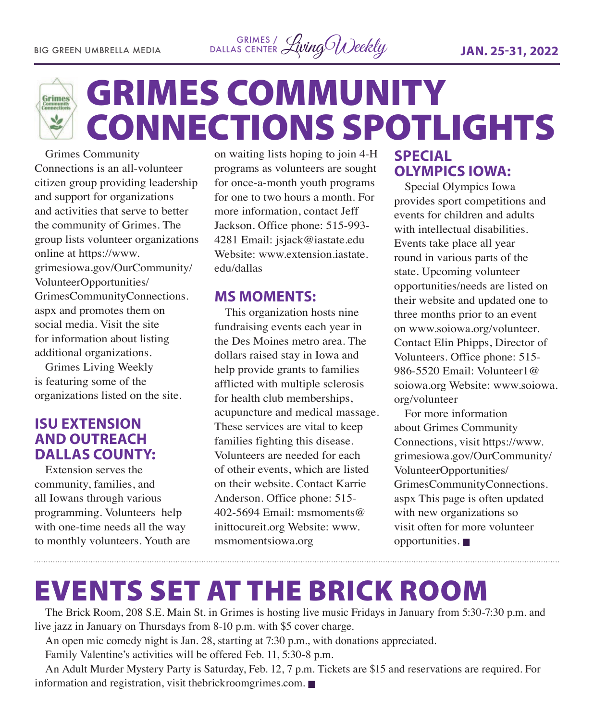



# GRIMES COMMUNITY CONNECTIONS SPOTLIGHTS

Grimes Community Connections is an all-volunteer citizen group providing leadership and support for organizations and activities that serve to better the community of Grimes. The group lists volunteer organizations online at https://www. grimesiowa.gov/OurCommunity/ VolunteerOpportunities/ GrimesCommunityConnections. aspx and promotes them on social media. Visit the site for information about listing additional organizations.

Grimes Living Weekly is featuring some of the organizations listed on the site.

## **ISU EXTENSION AND OUTREACH DALLAS COUNTY:**

Extension serves the community, families, and all Iowans through various programming. Volunteers help with one-time needs all the way to monthly volunteers. Youth are on waiting lists hoping to join 4-H programs as volunteers are sought for once-a-month youth programs for one to two hours a month. For more information, contact Jeff Jackson. Office phone: 515-993- 4281 Email: jsjack@iastate.edu Website: www.extension.jastate. edu/dallas

### **MS MOMENTS:**

This organization hosts nine fundraising events each year in the Des Moines metro area. The dollars raised stay in Iowa and help provide grants to families afflicted with multiple sclerosis for health club memberships, acupuncture and medical massage. These services are vital to keep families fighting this disease. Volunteers are needed for each of otheir events, which are listed on their website. Contact Karrie Anderson. Office phone: 515- 402-5694 Email: msmoments@ inittocureit.org Website: www. msmomentsiowa.org

# **SPECIAL OLYMPICS IOWA:**

Special Olympics Iowa provides sport competitions and events for children and adults with intellectual disabilities. Events take place all year round in various parts of the state. Upcoming volunteer opportunities/needs are listed on their website and updated one to three months prior to an event on www.soiowa.org/volunteer. Contact Elin Phipps, Director of Volunteers. Office phone: 515- 986-5520 Email: Volunteer1@ soiowa.org Website: www.soiowa. org/volunteer

For more information about Grimes Community Connections, visit https://www. grimesiowa.gov/OurCommunity/ VolunteerOpportunities/ GrimesCommunityConnections. aspx This page is often updated with new organizations so visit often for more volunteer opportunities.  $\blacksquare$ 

# EVENTS SET AT THE BRICK ROOM

The Brick Room, 208 S.E. Main St. in Grimes is hosting live music Fridays in January from 5:30-7:30 p.m. and live jazz in January on Thursdays from 8-10 p.m. with \$5 cover charge.

An open mic comedy night is Jan. 28, starting at 7:30 p.m., with donations appreciated.

Family Valentine's activities will be offered Feb. 11, 5:30-8 p.m.

An Adult Murder Mystery Party is Saturday, Feb. 12, 7 p.m. Tickets are \$15 and reservations are required. For information and registration, visit the brick roomgrimes.com.  $\blacksquare$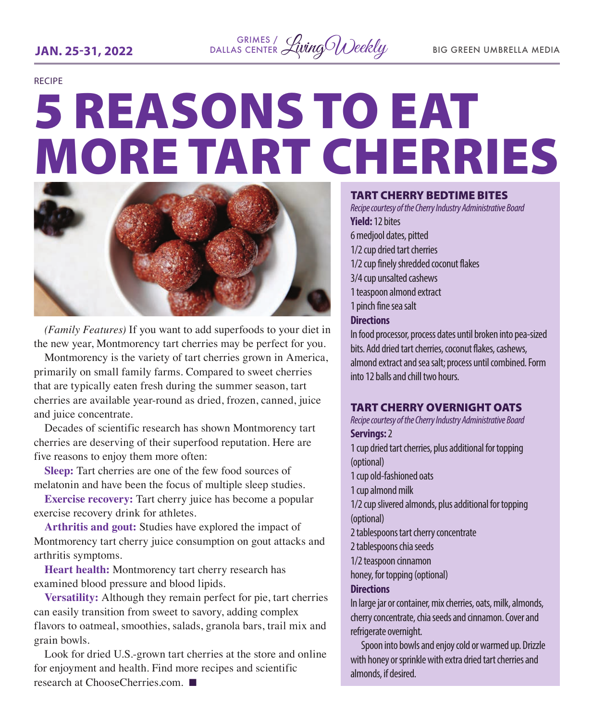

#### RECIPE

# 5 REASONS TO EAT MORE TART CHERRIES



*(Family Features)* If you want to add superfoods to your diet in the new year, Montmorency tart cherries may be perfect for you.

Montmorency is the variety of tart cherries grown in America, primarily on small family farms. Compared to sweet cherries that are typically eaten fresh during the summer season, tart cherries are available year-round as dried, frozen, canned, juice and juice concentrate.

Decades of scientific research has shown Montmorency tart cherries are deserving of their superfood reputation. Here are five reasons to enjoy them more often:

**Sleep:** Tart cherries are one of the few food sources of melatonin and have been the focus of multiple sleep studies.

**Exercise recovery:** Tart cherry juice has become a popular exercise recovery drink for athletes.

**Arthritis and gout:** Studies have explored the impact of Montmorency tart cherry juice consumption on gout attacks and arthritis symptoms.

**Heart health:** Montmorency tart cherry research has examined blood pressure and blood lipids.

**Versatility:** Although they remain perfect for pie, tart cherries can easily transition from sweet to savory, adding complex flavors to oatmeal, smoothies, salads, granola bars, trail mix and grain bowls.

Look for dried U.S.-grown tart cherries at the store and online for enjoyment and health. Find more recipes and scientific research at ChooseCherries.com.  $\blacksquare$ 

### TART CHERRY BEDTIME BITES

*Recipe courtesy of the Cherry Industry Administrative Board* **Yield:** 12 bites 6 medjool dates, pitted 1/2 cup dried tart cherries 1/2 cup finely shredded coconut flakes 3/4 cup unsalted cashews 1 teaspoon almond extract 1 pinch fine sea salt **Directions** In food processor, process dates until broken into pea-sized bits. Add dried tart cherries, coconut flakes, cashews, almond extract and sea salt; process until combined. Form

### TART CHERRY OVERNIGHT OATS

into 12 balls and chill two hours.

*Recipe courtesy of the Cherry Industry Administrative Board* **Servings:** 2 1 cup dried tart cherries, plus additional for topping

(optional) 1 cup old-fashioned oats 1 cup almond milk 1/2 cup slivered almonds, plus additional for topping (optional) 2 tablespoons tart cherry concentrate 2 tablespoons chia seeds 1/2 teaspoon cinnamon honey, for topping (optional) **Directions**

In large jar or container, mix cherries, oats, milk, almonds, cherry concentrate, chia seeds and cinnamon. Cover and refrigerate overnight.

Spoon into bowls and enjoy cold or warmed up. Drizzle with honey or sprinkle with extra dried tart cherries and almonds, if desired.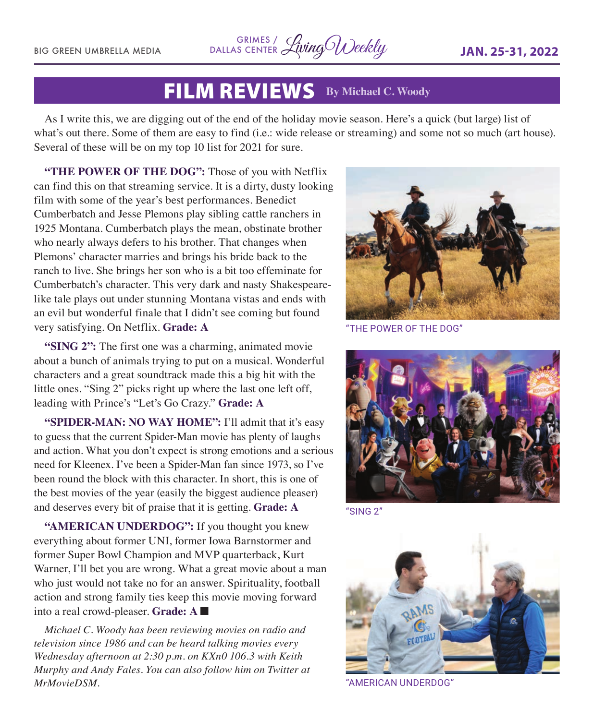BIG GREEN UMBRELLA MEDIA LivingWeekly **JAN. 25-31, 2022** GRIMES / DALLAS CENTER

# FILM REVIEWS **By Michael C. Woody**

As I write this, we are digging out of the end of the holiday movie season. Here's a quick (but large) list of what's out there. Some of them are easy to find (i.e.: wide release or streaming) and some not so much (art house). Several of these will be on my top 10 list for 2021 for sure.

**"THE POWER OF THE DOG":** Those of you with Netflix can find this on that streaming service. It is a dirty, dusty looking film with some of the year's best performances. Benedict Cumberbatch and Jesse Plemons play sibling cattle ranchers in 1925 Montana. Cumberbatch plays the mean, obstinate brother who nearly always defers to his brother. That changes when Plemons' character marries and brings his bride back to the ranch to live. She brings her son who is a bit too effeminate for Cumberbatch's character. This very dark and nasty Shakespearelike tale plays out under stunning Montana vistas and ends with an evil but wonderful finale that I didn't see coming but found very satisfying. On Netflix. **Grade: A**

**"SING 2":** The first one was a charming, animated movie about a bunch of animals trying to put on a musical. Wonderful characters and a great soundtrack made this a big hit with the little ones. "Sing 2" picks right up where the last one left off, leading with Prince's "Let's Go Crazy." **Grade: A**

**"SPIDER-MAN: NO WAY HOME":** I'll admit that it's easy to guess that the current Spider-Man movie has plenty of laughs and action. What you don't expect is strong emotions and a serious need for Kleenex. I've been a Spider-Man fan since 1973, so I've been round the block with this character. In short, this is one of the best movies of the year (easily the biggest audience pleaser) and deserves every bit of praise that it is getting. **Grade: A**

**"AMERICAN UNDERDOG":** If you thought you knew everything about former UNI, former Iowa Barnstormer and former Super Bowl Champion and MVP quarterback, Kurt Warner, I'll bet you are wrong. What a great movie about a man who just would not take no for an answer. Spirituality, football action and strong family ties keep this movie moving forward into a real crowd-pleaser. **Grade:** A

*Michael C. Woody has been reviewing movies on radio and television since 1986 and can be heard talking movies every Wednesday afternoon at 2:30 p.m. on KXn0 106.3 with Keith Murphy and Andy Fales. You can also follow him on Twitter at MrMovieDSM.* 



"THE POWER OF THE DOG"



"SING 2"



"AMERICAN UNDERDOG"